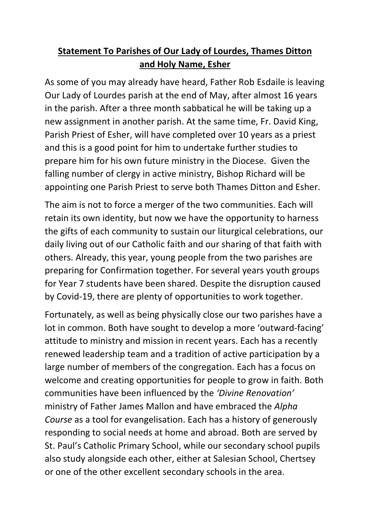## Statement To Parishes of Our Lady of Lourdes, Thames Ditton and Holy Name, Esher

As some of you may already have heard, Father Rob Esdaile is leaving Our Lady of Lourdes parish at the end of May, after almost 16 years in the parish. After a three month sabbatical he will be taking up a new assignment in another parish. At the same time, Fr. David King, Parish Priest of Esher, will have completed over 10 years as a priest and this is a good point for him to undertake further studies to prepare him for his own future ministry in the Diocese. Given the falling number of clergy in active ministry, Bishop Richard will be appointing one Parish Priest to serve both Thames Ditton and Esher.

The aim is not to force a merger of the two communities. Each will retain its own identity, but now we have the opportunity to harness the gifts of each community to sustain our liturgical celebrations, our daily living out of our Catholic faith and our sharing of that faith with others. Already, this year, young people from the two parishes are preparing for Confirmation together. For several years youth groups for Year 7 students have been shared. Despite the disruption caused by Covid-19, there are plenty of opportunities to work together.

Fortunately, as well as being physically close our two parishes have a lot in common. Both have sought to develop a more 'outward-facing' attitude to ministry and mission in recent years. Each has a recently renewed leadership team and a tradition of active participation by a large number of members of the congregation. Each has a focus on welcome and creating opportunities for people to grow in faith. Both communities have been influenced by the 'Divine Renovation' ministry of Father James Mallon and have embraced the Alpha Course as a tool for evangelisation. Each has a history of generously responding to social needs at home and abroad. Both are served by St. Paul's Catholic Primary School, while our secondary school pupils also study alongside each other, either at Salesian School, Chertsey or one of the other excellent secondary schools in the area.